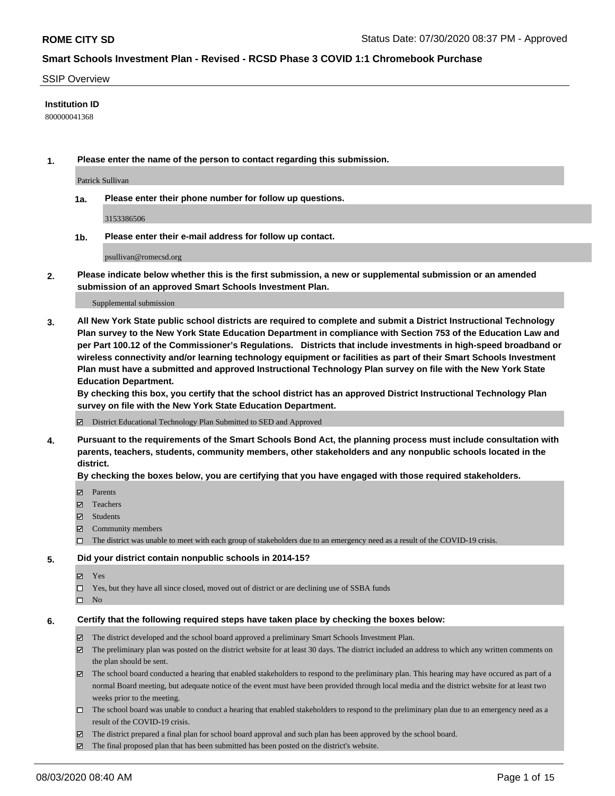### SSIP Overview

### **Institution ID**

800000041368

**1. Please enter the name of the person to contact regarding this submission.**

Patrick Sullivan

**1a. Please enter their phone number for follow up questions.**

3153386506

**1b. Please enter their e-mail address for follow up contact.**

psullivan@romecsd.org

**2. Please indicate below whether this is the first submission, a new or supplemental submission or an amended submission of an approved Smart Schools Investment Plan.**

#### Supplemental submission

**3. All New York State public school districts are required to complete and submit a District Instructional Technology Plan survey to the New York State Education Department in compliance with Section 753 of the Education Law and per Part 100.12 of the Commissioner's Regulations. Districts that include investments in high-speed broadband or wireless connectivity and/or learning technology equipment or facilities as part of their Smart Schools Investment Plan must have a submitted and approved Instructional Technology Plan survey on file with the New York State Education Department.** 

**By checking this box, you certify that the school district has an approved District Instructional Technology Plan survey on file with the New York State Education Department.**

District Educational Technology Plan Submitted to SED and Approved

**4. Pursuant to the requirements of the Smart Schools Bond Act, the planning process must include consultation with parents, teachers, students, community members, other stakeholders and any nonpublic schools located in the district.** 

#### **By checking the boxes below, you are certifying that you have engaged with those required stakeholders.**

- **Ø** Parents
- Teachers
- Students
- $\boxtimes$  Community members
- The district was unable to meet with each group of stakeholders due to an emergency need as a result of the COVID-19 crisis.

### **5. Did your district contain nonpublic schools in 2014-15?**

- **冈** Yes
- Yes, but they have all since closed, moved out of district or are declining use of SSBA funds
- $\square$  No

#### **6. Certify that the following required steps have taken place by checking the boxes below:**

- The district developed and the school board approved a preliminary Smart Schools Investment Plan.
- $\boxtimes$  The preliminary plan was posted on the district website for at least 30 days. The district included an address to which any written comments on the plan should be sent.
- $\boxtimes$  The school board conducted a hearing that enabled stakeholders to respond to the preliminary plan. This hearing may have occured as part of a normal Board meeting, but adequate notice of the event must have been provided through local media and the district website for at least two weeks prior to the meeting.
- The school board was unable to conduct a hearing that enabled stakeholders to respond to the preliminary plan due to an emergency need as a result of the COVID-19 crisis.
- The district prepared a final plan for school board approval and such plan has been approved by the school board.
- $\boxtimes$  The final proposed plan that has been submitted has been posted on the district's website.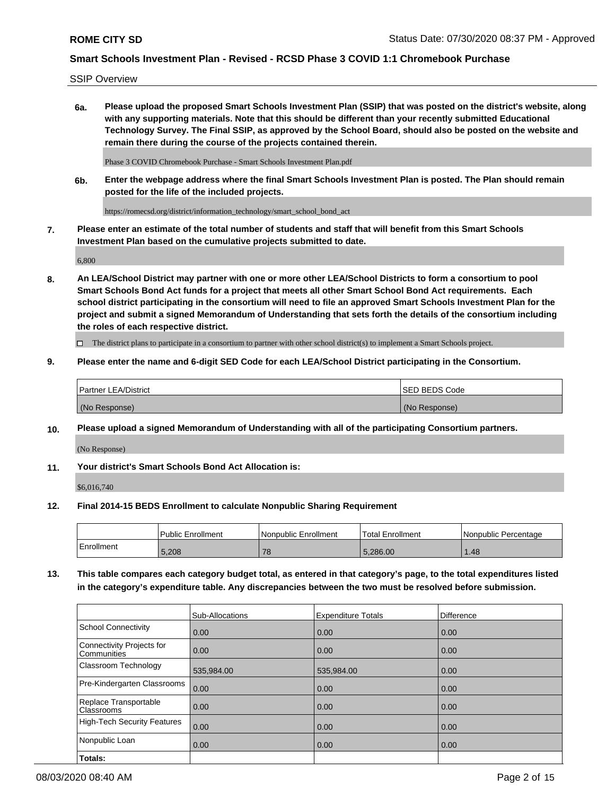SSIP Overview

**6a. Please upload the proposed Smart Schools Investment Plan (SSIP) that was posted on the district's website, along with any supporting materials. Note that this should be different than your recently submitted Educational Technology Survey. The Final SSIP, as approved by the School Board, should also be posted on the website and remain there during the course of the projects contained therein.**

Phase 3 COVID Chromebook Purchase - Smart Schools Investment Plan.pdf

**6b. Enter the webpage address where the final Smart Schools Investment Plan is posted. The Plan should remain posted for the life of the included projects.**

https://romecsd.org/district/information\_technology/smart\_school\_bond\_act

**7. Please enter an estimate of the total number of students and staff that will benefit from this Smart Schools Investment Plan based on the cumulative projects submitted to date.**

6,800

**8. An LEA/School District may partner with one or more other LEA/School Districts to form a consortium to pool Smart Schools Bond Act funds for a project that meets all other Smart School Bond Act requirements. Each school district participating in the consortium will need to file an approved Smart Schools Investment Plan for the project and submit a signed Memorandum of Understanding that sets forth the details of the consortium including the roles of each respective district.**

 $\Box$  The district plans to participate in a consortium to partner with other school district(s) to implement a Smart Schools project.

### **9. Please enter the name and 6-digit SED Code for each LEA/School District participating in the Consortium.**

| Partner LEA/District | <b>ISED BEDS Code</b> |
|----------------------|-----------------------|
| (No Response)        | (No Response)         |

### **10. Please upload a signed Memorandum of Understanding with all of the participating Consortium partners.**

(No Response)

### **11. Your district's Smart Schools Bond Act Allocation is:**

\$6,016,740

#### **12. Final 2014-15 BEDS Enrollment to calculate Nonpublic Sharing Requirement**

|            | Public Enrollment | Nonpublic Enrollment | Total Enrollment | l Nonpublic Percentage |
|------------|-------------------|----------------------|------------------|------------------------|
| Enrollment | 5,208             | 7c<br>1 O            | .286.00          | .48 <sup>°</sup>       |

**13. This table compares each category budget total, as entered in that category's page, to the total expenditures listed in the category's expenditure table. Any discrepancies between the two must be resolved before submission.**

|                                          | Sub-Allocations | <b>Expenditure Totals</b> | Difference |
|------------------------------------------|-----------------|---------------------------|------------|
| <b>School Connectivity</b>               | 0.00            | 0.00                      | 0.00       |
| Connectivity Projects for<br>Communities | 0.00            | 0.00                      | 0.00       |
| Classroom Technology                     | 535,984.00      | 535,984.00                | 0.00       |
| Pre-Kindergarten Classrooms              | 0.00            | 0.00                      | 0.00       |
| Replace Transportable<br>Classrooms      | 0.00            | 0.00                      | 0.00       |
| <b>High-Tech Security Features</b>       | 0.00            | 0.00                      | 0.00       |
| Nonpublic Loan                           | 0.00            | 0.00                      | 0.00       |
| Totals:                                  |                 |                           |            |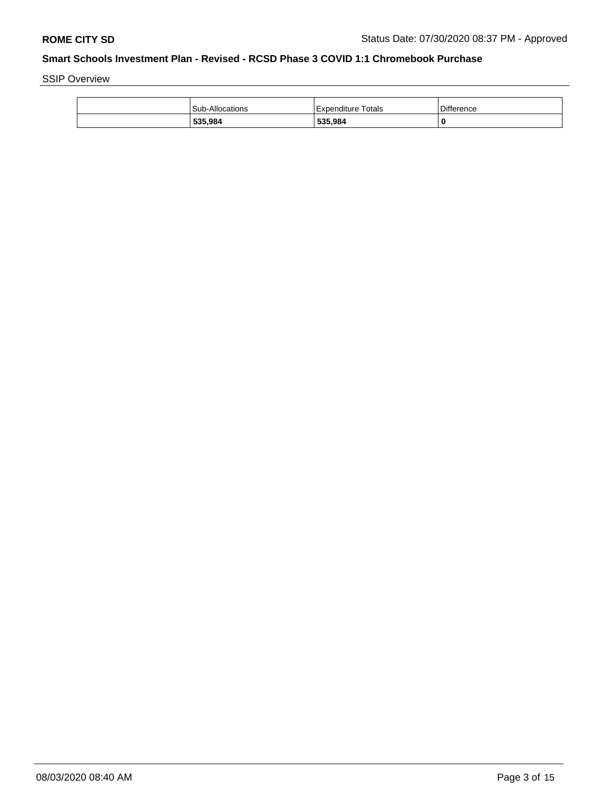SSIP Overview

| 535,984                | 535,984                 | 0                 |
|------------------------|-------------------------|-------------------|
| <b>Sub-Allocations</b> | Totals<br>l Expenditure | <b>Difference</b> |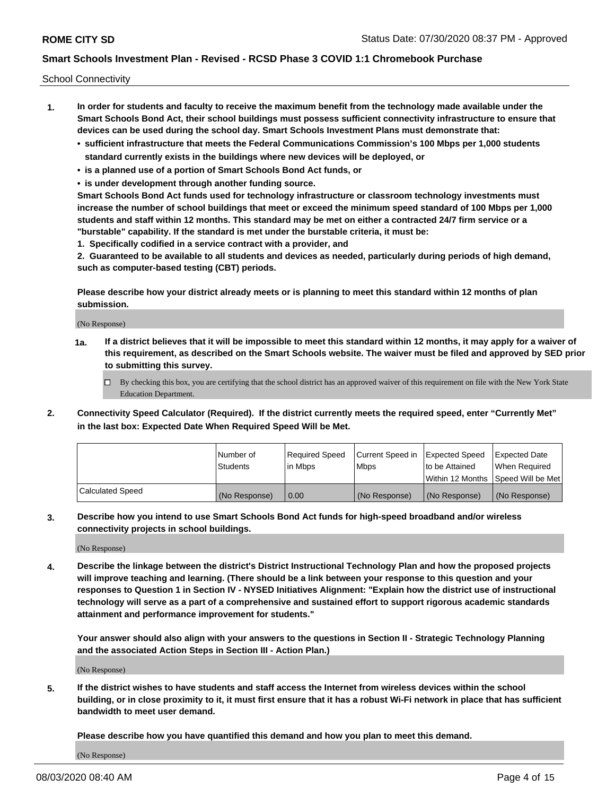School Connectivity

- **1. In order for students and faculty to receive the maximum benefit from the technology made available under the Smart Schools Bond Act, their school buildings must possess sufficient connectivity infrastructure to ensure that devices can be used during the school day. Smart Schools Investment Plans must demonstrate that:**
	- **• sufficient infrastructure that meets the Federal Communications Commission's 100 Mbps per 1,000 students standard currently exists in the buildings where new devices will be deployed, or**
	- **• is a planned use of a portion of Smart Schools Bond Act funds, or**
	- **• is under development through another funding source.**

**Smart Schools Bond Act funds used for technology infrastructure or classroom technology investments must increase the number of school buildings that meet or exceed the minimum speed standard of 100 Mbps per 1,000 students and staff within 12 months. This standard may be met on either a contracted 24/7 firm service or a "burstable" capability. If the standard is met under the burstable criteria, it must be:**

**1. Specifically codified in a service contract with a provider, and**

**2. Guaranteed to be available to all students and devices as needed, particularly during periods of high demand, such as computer-based testing (CBT) periods.**

**Please describe how your district already meets or is planning to meet this standard within 12 months of plan submission.**

(No Response)

**1a. If a district believes that it will be impossible to meet this standard within 12 months, it may apply for a waiver of this requirement, as described on the Smart Schools website. The waiver must be filed and approved by SED prior to submitting this survey.**

 $\Box$  By checking this box, you are certifying that the school district has an approved waiver of this requirement on file with the New York State Education Department.

**2. Connectivity Speed Calculator (Required). If the district currently meets the required speed, enter "Currently Met" in the last box: Expected Date When Required Speed Will be Met.**

|                  | l Number of     | Required Speed | Current Speed in | Expected Speed | Expected Date                        |
|------------------|-----------------|----------------|------------------|----------------|--------------------------------------|
|                  | <b>Students</b> | In Mbps        | <b>Mbps</b>      | to be Attained | When Required                        |
|                  |                 |                |                  |                | Within 12 Months 1Speed Will be Met1 |
| Calculated Speed | (No Response)   | 0.00           | (No Response)    | (No Response)  | l (No Response)                      |

**3. Describe how you intend to use Smart Schools Bond Act funds for high-speed broadband and/or wireless connectivity projects in school buildings.**

(No Response)

**4. Describe the linkage between the district's District Instructional Technology Plan and how the proposed projects will improve teaching and learning. (There should be a link between your response to this question and your responses to Question 1 in Section IV - NYSED Initiatives Alignment: "Explain how the district use of instructional technology will serve as a part of a comprehensive and sustained effort to support rigorous academic standards attainment and performance improvement for students."** 

**Your answer should also align with your answers to the questions in Section II - Strategic Technology Planning and the associated Action Steps in Section III - Action Plan.)**

(No Response)

**5. If the district wishes to have students and staff access the Internet from wireless devices within the school building, or in close proximity to it, it must first ensure that it has a robust Wi-Fi network in place that has sufficient bandwidth to meet user demand.**

**Please describe how you have quantified this demand and how you plan to meet this demand.**

(No Response)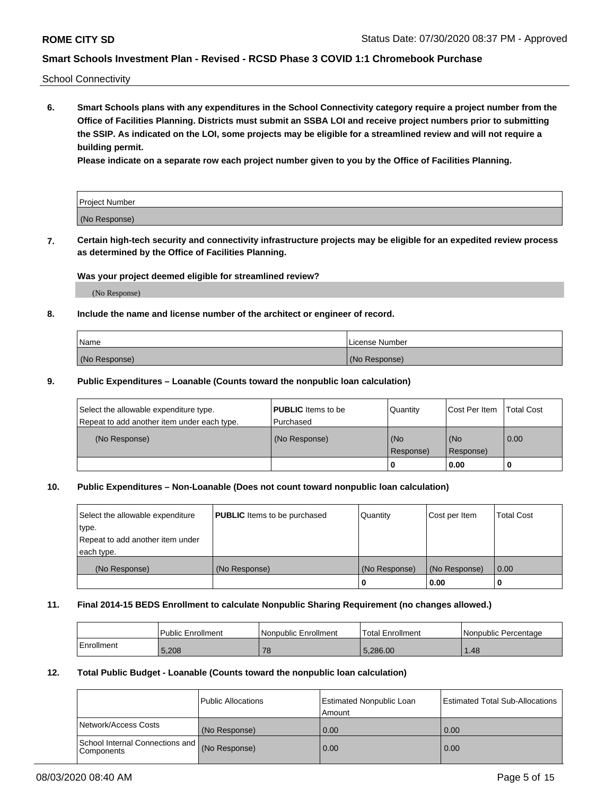School Connectivity

**6. Smart Schools plans with any expenditures in the School Connectivity category require a project number from the Office of Facilities Planning. Districts must submit an SSBA LOI and receive project numbers prior to submitting the SSIP. As indicated on the LOI, some projects may be eligible for a streamlined review and will not require a building permit.**

**Please indicate on a separate row each project number given to you by the Office of Facilities Planning.**

| Project Number |  |
|----------------|--|
| (No Response)  |  |

**7. Certain high-tech security and connectivity infrastructure projects may be eligible for an expedited review process as determined by the Office of Facilities Planning.**

### **Was your project deemed eligible for streamlined review?**

(No Response)

### **8. Include the name and license number of the architect or engineer of record.**

| Name          | License Number |
|---------------|----------------|
| (No Response) | (No Response)  |

### **9. Public Expenditures – Loanable (Counts toward the nonpublic loan calculation)**

| Select the allowable expenditure type.<br>Repeat to add another item under each type. | <b>PUBLIC</b> Items to be<br>l Purchased | Quantity           | Cost Per Item    | <b>Total Cost</b> |
|---------------------------------------------------------------------------------------|------------------------------------------|--------------------|------------------|-------------------|
| (No Response)                                                                         | (No Response)                            | l (No<br>Response) | (No<br>Response) | $\overline{0.00}$ |
|                                                                                       |                                          | 0                  | 0.00             |                   |

## **10. Public Expenditures – Non-Loanable (Does not count toward nonpublic loan calculation)**

| Select the allowable expenditure<br>type.<br>Repeat to add another item under<br>each type. | <b>PUBLIC</b> Items to be purchased | Quantity      | Cost per Item | <b>Total Cost</b> |
|---------------------------------------------------------------------------------------------|-------------------------------------|---------------|---------------|-------------------|
| (No Response)                                                                               | (No Response)                       | (No Response) | (No Response) | 0.00              |
|                                                                                             |                                     |               | 0.00          |                   |

#### **11. Final 2014-15 BEDS Enrollment to calculate Nonpublic Sharing Requirement (no changes allowed.)**

|            | l Public Enrollment | Nonpublic Enrollment | 'Total Enrollment | l Nonpublic Percentage |
|------------|---------------------|----------------------|-------------------|------------------------|
| Enrollment | 5,208               | 78                   | 5.286.00          | 1.48                   |

### **12. Total Public Budget - Loanable (Counts toward the nonpublic loan calculation)**

|                                                      | Public Allocations | <b>Estimated Nonpublic Loan</b><br>Amount | Estimated Total Sub-Allocations |
|------------------------------------------------------|--------------------|-------------------------------------------|---------------------------------|
| Network/Access Costs                                 | (No Response)      | 0.00                                      | 0.00                            |
| School Internal Connections and<br><b>Components</b> | (No Response)      | 0.00                                      | 0.00                            |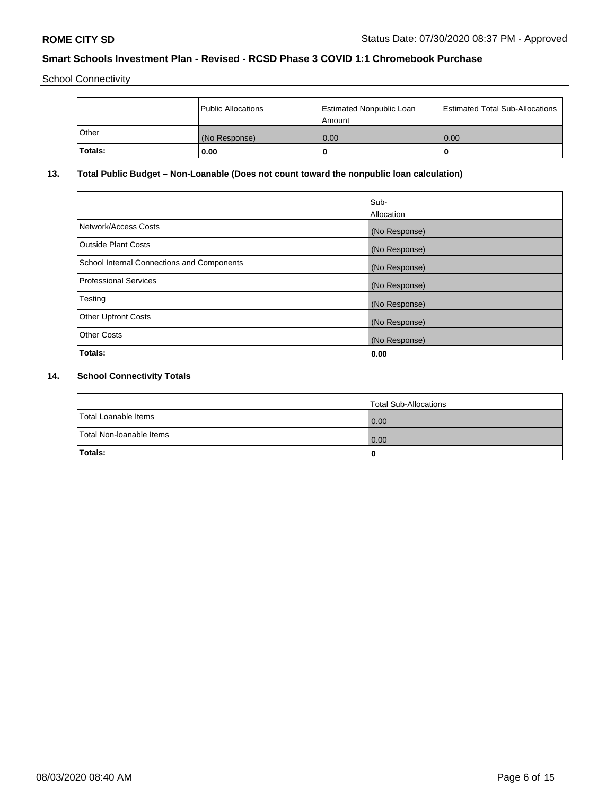School Connectivity

|          | Public Allocations | Estimated Nonpublic Loan<br>l Amount | Estimated Total Sub-Allocations |
|----------|--------------------|--------------------------------------|---------------------------------|
| l Other  | (No Response)      | 0.00                                 | 0.00                            |
| 'Totals: | 0.00               | 0                                    | 0                               |

# **13. Total Public Budget – Non-Loanable (Does not count toward the nonpublic loan calculation)**

|                                                   | Sub-<br>Allocation |
|---------------------------------------------------|--------------------|
|                                                   |                    |
| Network/Access Costs                              | (No Response)      |
| <b>Outside Plant Costs</b>                        | (No Response)      |
| <b>School Internal Connections and Components</b> | (No Response)      |
| Professional Services                             | (No Response)      |
| Testing                                           | (No Response)      |
| <b>Other Upfront Costs</b>                        | (No Response)      |
| <b>Other Costs</b>                                | (No Response)      |
| <b>Totals:</b>                                    | 0.00               |

# **14. School Connectivity Totals**

|                          | Total Sub-Allocations |
|--------------------------|-----------------------|
| Total Loanable Items     | 0.00                  |
| Total Non-Ioanable Items | 0.00                  |
| Totals:                  | 0                     |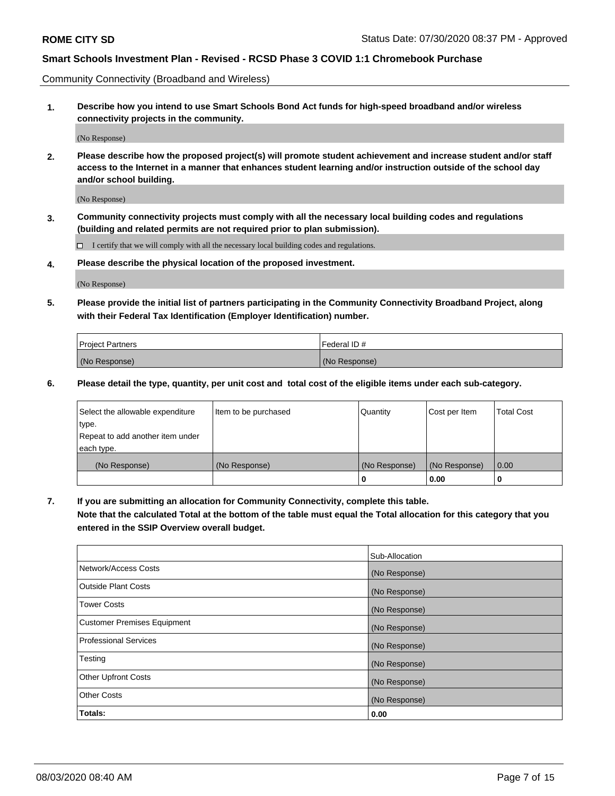Community Connectivity (Broadband and Wireless)

**1. Describe how you intend to use Smart Schools Bond Act funds for high-speed broadband and/or wireless connectivity projects in the community.**

(No Response)

**2. Please describe how the proposed project(s) will promote student achievement and increase student and/or staff access to the Internet in a manner that enhances student learning and/or instruction outside of the school day and/or school building.**

(No Response)

**3. Community connectivity projects must comply with all the necessary local building codes and regulations (building and related permits are not required prior to plan submission).**

 $\Box$  I certify that we will comply with all the necessary local building codes and regulations.

**4. Please describe the physical location of the proposed investment.**

(No Response)

**5. Please provide the initial list of partners participating in the Community Connectivity Broadband Project, along with their Federal Tax Identification (Employer Identification) number.**

| <b>Project Partners</b> | l Federal ID # |
|-------------------------|----------------|
| (No Response)           | (No Response)  |

**6. Please detail the type, quantity, per unit cost and total cost of the eligible items under each sub-category.**

| Select the allowable expenditure | Item to be purchased | Quantity      | Cost per Item | <b>Total Cost</b> |
|----------------------------------|----------------------|---------------|---------------|-------------------|
| type.                            |                      |               |               |                   |
| Repeat to add another item under |                      |               |               |                   |
| each type.                       |                      |               |               |                   |
| (No Response)                    | (No Response)        | (No Response) | (No Response) | 0.00              |
|                                  |                      | U             | 0.00          |                   |

**7. If you are submitting an allocation for Community Connectivity, complete this table.**

**Note that the calculated Total at the bottom of the table must equal the Total allocation for this category that you entered in the SSIP Overview overall budget.**

|                                    | Sub-Allocation |
|------------------------------------|----------------|
| Network/Access Costs               | (No Response)  |
| Outside Plant Costs                | (No Response)  |
| <b>Tower Costs</b>                 | (No Response)  |
| <b>Customer Premises Equipment</b> | (No Response)  |
| <b>Professional Services</b>       | (No Response)  |
| Testing                            | (No Response)  |
| <b>Other Upfront Costs</b>         | (No Response)  |
| <b>Other Costs</b>                 | (No Response)  |
| Totals:                            | 0.00           |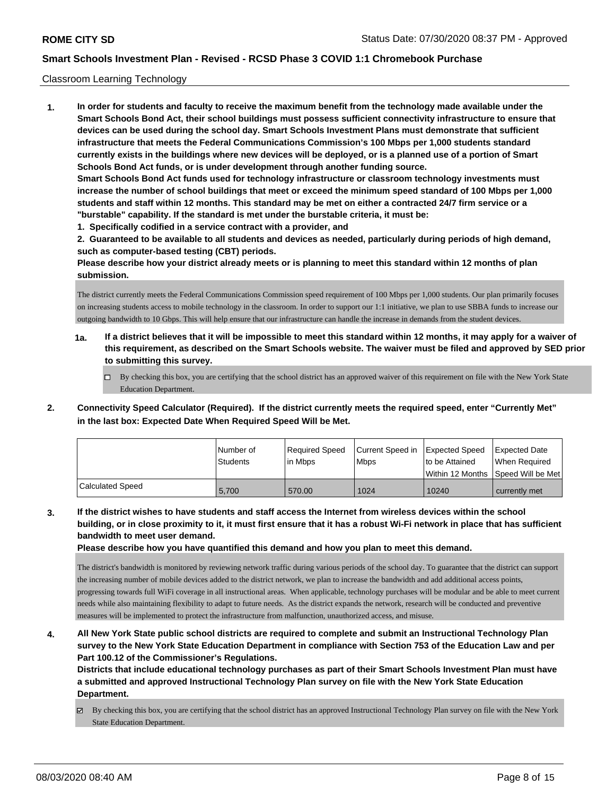### Classroom Learning Technology

**1. In order for students and faculty to receive the maximum benefit from the technology made available under the Smart Schools Bond Act, their school buildings must possess sufficient connectivity infrastructure to ensure that devices can be used during the school day. Smart Schools Investment Plans must demonstrate that sufficient infrastructure that meets the Federal Communications Commission's 100 Mbps per 1,000 students standard currently exists in the buildings where new devices will be deployed, or is a planned use of a portion of Smart Schools Bond Act funds, or is under development through another funding source. Smart Schools Bond Act funds used for technology infrastructure or classroom technology investments must increase the number of school buildings that meet or exceed the minimum speed standard of 100 Mbps per 1,000 students and staff within 12 months. This standard may be met on either a contracted 24/7 firm service or a "burstable" capability. If the standard is met under the burstable criteria, it must be:**

**1. Specifically codified in a service contract with a provider, and**

**2. Guaranteed to be available to all students and devices as needed, particularly during periods of high demand, such as computer-based testing (CBT) periods.**

**Please describe how your district already meets or is planning to meet this standard within 12 months of plan submission.**

The district currently meets the Federal Communications Commission speed requirement of 100 Mbps per 1,000 students. Our plan primarily focuses on increasing students access to mobile technology in the classroom. In order to support our 1:1 initiative, we plan to use SBBA funds to increase our outgoing bandwidth to 10 Gbps. This will help ensure that our infrastructure can handle the increase in demands from the student devices.

- **1a. If a district believes that it will be impossible to meet this standard within 12 months, it may apply for a waiver of this requirement, as described on the Smart Schools website. The waiver must be filed and approved by SED prior to submitting this survey.**
	- By checking this box, you are certifying that the school district has an approved waiver of this requirement on file with the New York State Education Department.
- **2. Connectivity Speed Calculator (Required). If the district currently meets the required speed, enter "Currently Met" in the last box: Expected Date When Required Speed Will be Met.**

|                  | l Number of<br>Students | Required Speed<br>lin Mbps | Current Speed in Expected Speed<br><b>Mbps</b> | to be Attained   | <b>Expected Date</b><br>When Reauired |
|------------------|-------------------------|----------------------------|------------------------------------------------|------------------|---------------------------------------|
|                  |                         |                            |                                                | Within 12 Months | Speed Will be Met                     |
| Calculated Speed | 5.700                   | 570.00                     | 1024                                           | 10240            | currently met                         |

**3. If the district wishes to have students and staff access the Internet from wireless devices within the school building, or in close proximity to it, it must first ensure that it has a robust Wi-Fi network in place that has sufficient bandwidth to meet user demand.**

**Please describe how you have quantified this demand and how you plan to meet this demand.**

The district's bandwidth is monitored by reviewing network traffic during various periods of the school day. To guarantee that the district can support the increasing number of mobile devices added to the district network, we plan to increase the bandwidth and add additional access points, progressing towards full WiFi coverage in all instructional areas. When applicable, technology purchases will be modular and be able to meet current needs while also maintaining flexibility to adapt to future needs. As the district expands the network, research will be conducted and preventive measures will be implemented to protect the infrastructure from malfunction, unauthorized access, and misuse.

**4. All New York State public school districts are required to complete and submit an Instructional Technology Plan survey to the New York State Education Department in compliance with Section 753 of the Education Law and per Part 100.12 of the Commissioner's Regulations.**

**Districts that include educational technology purchases as part of their Smart Schools Investment Plan must have a submitted and approved Instructional Technology Plan survey on file with the New York State Education Department.**

By checking this box, you are certifying that the school district has an approved Instructional Technology Plan survey on file with the New York State Education Department.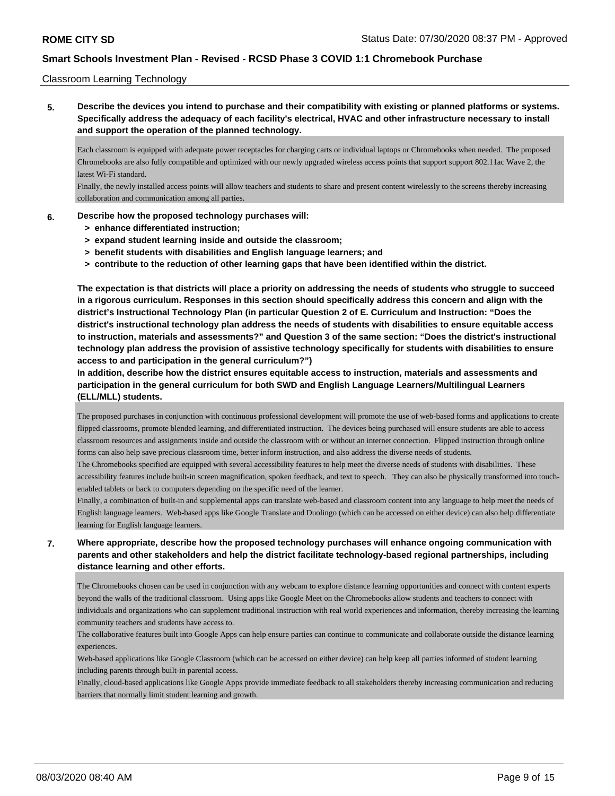### Classroom Learning Technology

**5. Describe the devices you intend to purchase and their compatibility with existing or planned platforms or systems. Specifically address the adequacy of each facility's electrical, HVAC and other infrastructure necessary to install and support the operation of the planned technology.**

Each classroom is equipped with adequate power receptacles for charging carts or individual laptops or Chromebooks when needed. The proposed Chromebooks are also fully compatible and optimized with our newly upgraded wireless access points that support support 802.11ac Wave 2, the latest Wi-Fi standard.

Finally, the newly installed access points will allow teachers and students to share and present content wirelessly to the screens thereby increasing collaboration and communication among all parties.

#### **6. Describe how the proposed technology purchases will:**

- **> enhance differentiated instruction;**
- **> expand student learning inside and outside the classroom;**
- **> benefit students with disabilities and English language learners; and**
- **> contribute to the reduction of other learning gaps that have been identified within the district.**

**The expectation is that districts will place a priority on addressing the needs of students who struggle to succeed in a rigorous curriculum. Responses in this section should specifically address this concern and align with the district's Instructional Technology Plan (in particular Question 2 of E. Curriculum and Instruction: "Does the district's instructional technology plan address the needs of students with disabilities to ensure equitable access to instruction, materials and assessments?" and Question 3 of the same section: "Does the district's instructional technology plan address the provision of assistive technology specifically for students with disabilities to ensure access to and participation in the general curriculum?")**

**In addition, describe how the district ensures equitable access to instruction, materials and assessments and participation in the general curriculum for both SWD and English Language Learners/Multilingual Learners (ELL/MLL) students.**

The proposed purchases in conjunction with continuous professional development will promote the use of web-based forms and applications to create flipped classrooms, promote blended learning, and differentiated instruction. The devices being purchased will ensure students are able to access classroom resources and assignments inside and outside the classroom with or without an internet connection. Flipped instruction through online forms can also help save precious classroom time, better inform instruction, and also address the diverse needs of students.

The Chromebooks specified are equipped with several accessibility features to help meet the diverse needs of students with disabilities. These accessibility features include built-in screen magnification, spoken feedback, and text to speech. They can also be physically transformed into touchenabled tablets or back to computers depending on the specific need of the learner.

Finally, a combination of built-in and supplemental apps can translate web-based and classroom content into any language to help meet the needs of English language learners. Web-based apps like Google Translate and Duolingo (which can be accessed on either device) can also help differentiate learning for English language learners.

## **7. Where appropriate, describe how the proposed technology purchases will enhance ongoing communication with parents and other stakeholders and help the district facilitate technology-based regional partnerships, including distance learning and other efforts.**

The Chromebooks chosen can be used in conjunction with any webcam to explore distance learning opportunities and connect with content experts beyond the walls of the traditional classroom. Using apps like Google Meet on the Chromebooks allow students and teachers to connect with individuals and organizations who can supplement traditional instruction with real world experiences and information, thereby increasing the learning community teachers and students have access to.

The collaborative features built into Google Apps can help ensure parties can continue to communicate and collaborate outside the distance learning experiences.

Web-based applications like Google Classroom (which can be accessed on either device) can help keep all parties informed of student learning including parents through built-in parental access.

Finally, cloud-based applications like Google Apps provide immediate feedback to all stakeholders thereby increasing communication and reducing barriers that normally limit student learning and growth.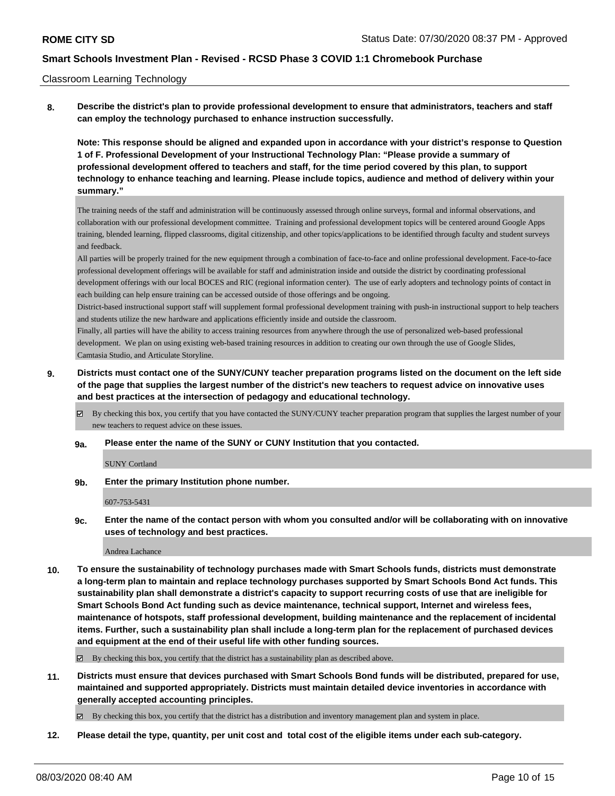### Classroom Learning Technology

**8. Describe the district's plan to provide professional development to ensure that administrators, teachers and staff can employ the technology purchased to enhance instruction successfully.**

**Note: This response should be aligned and expanded upon in accordance with your district's response to Question 1 of F. Professional Development of your Instructional Technology Plan: "Please provide a summary of professional development offered to teachers and staff, for the time period covered by this plan, to support technology to enhance teaching and learning. Please include topics, audience and method of delivery within your summary."**

The training needs of the staff and administration will be continuously assessed through online surveys, formal and informal observations, and collaboration with our professional development committee. Training and professional development topics will be centered around Google Apps training, blended learning, flipped classrooms, digital citizenship, and other topics/applications to be identified through faculty and student surveys and feedback.

All parties will be properly trained for the new equipment through a combination of face-to-face and online professional development. Face-to-face professional development offerings will be available for staff and administration inside and outside the district by coordinating professional development offerings with our local BOCES and RIC (regional information center). The use of early adopters and technology points of contact in each building can help ensure training can be accessed outside of those offerings and be ongoing.

District-based instructional support staff will supplement formal professional development training with push-in instructional support to help teachers and students utilize the new hardware and applications efficiently inside and outside the classroom.

Finally, all parties will have the ability to access training resources from anywhere through the use of personalized web-based professional development. We plan on using existing web-based training resources in addition to creating our own through the use of Google Slides, Camtasia Studio, and Articulate Storyline.

## **9. Districts must contact one of the SUNY/CUNY teacher preparation programs listed on the document on the left side of the page that supplies the largest number of the district's new teachers to request advice on innovative uses and best practices at the intersection of pedagogy and educational technology.**

- By checking this box, you certify that you have contacted the SUNY/CUNY teacher preparation program that supplies the largest number of your new teachers to request advice on these issues.
- **9a. Please enter the name of the SUNY or CUNY Institution that you contacted.**

SUNY Cortland

**9b. Enter the primary Institution phone number.**

#### 607-753-5431

**9c. Enter the name of the contact person with whom you consulted and/or will be collaborating with on innovative uses of technology and best practices.**

#### Andrea Lachance

**10. To ensure the sustainability of technology purchases made with Smart Schools funds, districts must demonstrate a long-term plan to maintain and replace technology purchases supported by Smart Schools Bond Act funds. This sustainability plan shall demonstrate a district's capacity to support recurring costs of use that are ineligible for Smart Schools Bond Act funding such as device maintenance, technical support, Internet and wireless fees, maintenance of hotspots, staff professional development, building maintenance and the replacement of incidental items. Further, such a sustainability plan shall include a long-term plan for the replacement of purchased devices and equipment at the end of their useful life with other funding sources.**

By checking this box, you certify that the district has a sustainability plan as described above.

**11. Districts must ensure that devices purchased with Smart Schools Bond funds will be distributed, prepared for use, maintained and supported appropriately. Districts must maintain detailed device inventories in accordance with generally accepted accounting principles.**

 $\boxtimes$  By checking this box, you certify that the district has a distribution and inventory management plan and system in place.

**12. Please detail the type, quantity, per unit cost and total cost of the eligible items under each sub-category.**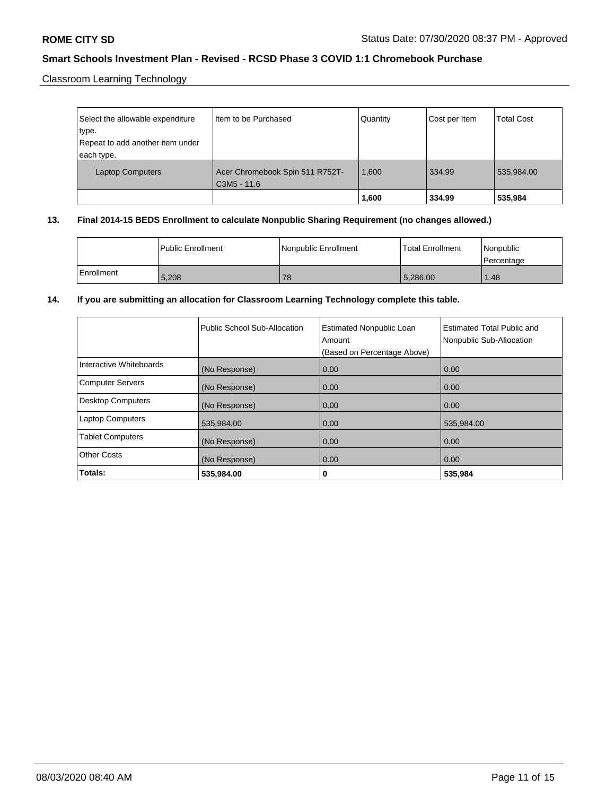Classroom Learning Technology

| Select the allowable expenditure<br>type.<br>Repeat to add another item under<br>each type. | Iltem to be Purchased                          | Quantity | Cost per Item | <b>Total Cost</b> |
|---------------------------------------------------------------------------------------------|------------------------------------------------|----------|---------------|-------------------|
| <b>Laptop Computers</b>                                                                     | Acer Chromebook Spin 511 R752T-<br>C3M5 - 11.6 | 1.600    | 334.99        | 535,984.00        |
|                                                                                             |                                                | 1,600    | 334.99        | 535,984           |

## **13. Final 2014-15 BEDS Enrollment to calculate Nonpublic Sharing Requirement (no changes allowed.)**

|            | l Public Enrollment | Nonpublic Enrollment | l Total Enrollment | l Nonpublic<br>l Percentage |
|------------|---------------------|----------------------|--------------------|-----------------------------|
| Enrollment | 5,208               | 78                   | 5.286.00           | 1.48                        |

### **14. If you are submitting an allocation for Classroom Learning Technology complete this table.**

|                          | Public School Sub-Allocation | <b>Estimated Nonpublic Loan</b><br>Amount<br>(Based on Percentage Above) | Estimated Total Public and<br>Nonpublic Sub-Allocation |
|--------------------------|------------------------------|--------------------------------------------------------------------------|--------------------------------------------------------|
| Interactive Whiteboards  | (No Response)                | 0.00                                                                     | 0.00                                                   |
| <b>Computer Servers</b>  | (No Response)                | 0.00                                                                     | 0.00                                                   |
| <b>Desktop Computers</b> | (No Response)                | 0.00                                                                     | 0.00                                                   |
| <b>Laptop Computers</b>  | 535,984.00                   | 0.00                                                                     | 535,984.00                                             |
| <b>Tablet Computers</b>  | (No Response)                | 0.00                                                                     | 0.00                                                   |
| <b>Other Costs</b>       | (No Response)                | 0.00                                                                     | 0.00                                                   |
| Totals:                  | 535,984.00                   | 0                                                                        | 535,984                                                |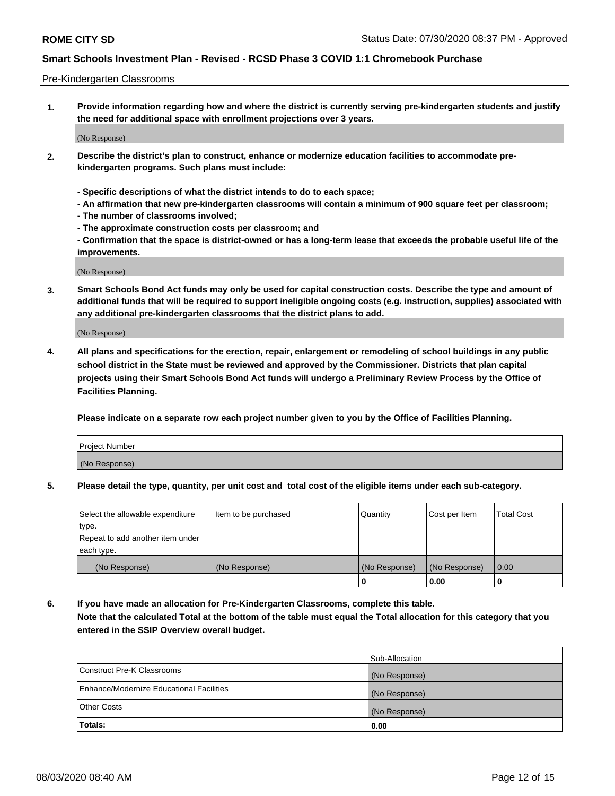### Pre-Kindergarten Classrooms

**1. Provide information regarding how and where the district is currently serving pre-kindergarten students and justify the need for additional space with enrollment projections over 3 years.**

(No Response)

- **2. Describe the district's plan to construct, enhance or modernize education facilities to accommodate prekindergarten programs. Such plans must include:**
	- **Specific descriptions of what the district intends to do to each space;**
	- **An affirmation that new pre-kindergarten classrooms will contain a minimum of 900 square feet per classroom;**
	- **The number of classrooms involved;**
	- **The approximate construction costs per classroom; and**
	- **Confirmation that the space is district-owned or has a long-term lease that exceeds the probable useful life of the improvements.**

(No Response)

**3. Smart Schools Bond Act funds may only be used for capital construction costs. Describe the type and amount of additional funds that will be required to support ineligible ongoing costs (e.g. instruction, supplies) associated with any additional pre-kindergarten classrooms that the district plans to add.**

(No Response)

**4. All plans and specifications for the erection, repair, enlargement or remodeling of school buildings in any public school district in the State must be reviewed and approved by the Commissioner. Districts that plan capital projects using their Smart Schools Bond Act funds will undergo a Preliminary Review Process by the Office of Facilities Planning.**

**Please indicate on a separate row each project number given to you by the Office of Facilities Planning.**

| Project Number |  |
|----------------|--|
| (No Response)  |  |
|                |  |

**5. Please detail the type, quantity, per unit cost and total cost of the eligible items under each sub-category.**

| Select the allowable expenditure | Item to be purchased | Quantity      | Cost per Item | <b>Total Cost</b> |
|----------------------------------|----------------------|---------------|---------------|-------------------|
| type.                            |                      |               |               |                   |
| Repeat to add another item under |                      |               |               |                   |
| each type.                       |                      |               |               |                   |
| (No Response)                    | (No Response)        | (No Response) | (No Response) | 0.00              |
|                                  |                      | υ             | 0.00          |                   |

**6. If you have made an allocation for Pre-Kindergarten Classrooms, complete this table. Note that the calculated Total at the bottom of the table must equal the Total allocation for this category that you entered in the SSIP Overview overall budget.**

|                                          | Sub-Allocation |
|------------------------------------------|----------------|
| Construct Pre-K Classrooms               | (No Response)  |
| Enhance/Modernize Educational Facilities | (No Response)  |
| <b>Other Costs</b>                       | (No Response)  |
| Totals:                                  | 0.00           |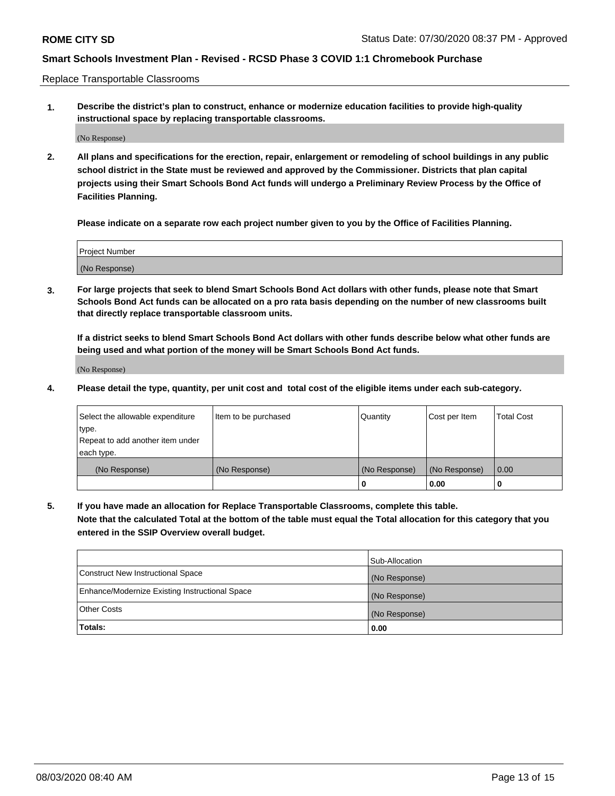Replace Transportable Classrooms

**1. Describe the district's plan to construct, enhance or modernize education facilities to provide high-quality instructional space by replacing transportable classrooms.**

(No Response)

**2. All plans and specifications for the erection, repair, enlargement or remodeling of school buildings in any public school district in the State must be reviewed and approved by the Commissioner. Districts that plan capital projects using their Smart Schools Bond Act funds will undergo a Preliminary Review Process by the Office of Facilities Planning.**

**Please indicate on a separate row each project number given to you by the Office of Facilities Planning.**

| Project Number |  |
|----------------|--|
|                |  |
|                |  |
|                |  |
| (No Response)  |  |
|                |  |
|                |  |

**3. For large projects that seek to blend Smart Schools Bond Act dollars with other funds, please note that Smart Schools Bond Act funds can be allocated on a pro rata basis depending on the number of new classrooms built that directly replace transportable classroom units.**

**If a district seeks to blend Smart Schools Bond Act dollars with other funds describe below what other funds are being used and what portion of the money will be Smart Schools Bond Act funds.**

(No Response)

**4. Please detail the type, quantity, per unit cost and total cost of the eligible items under each sub-category.**

| Select the allowable expenditure<br>∣type.     | Item to be purchased | Quantity      | Cost per Item | Total Cost |
|------------------------------------------------|----------------------|---------------|---------------|------------|
| Repeat to add another item under<br>each type. |                      |               |               |            |
| (No Response)                                  | (No Response)        | (No Response) | (No Response) | 0.00       |
|                                                |                      | u             | 0.00          |            |

**5. If you have made an allocation for Replace Transportable Classrooms, complete this table. Note that the calculated Total at the bottom of the table must equal the Total allocation for this category that you entered in the SSIP Overview overall budget.**

|                                                | Sub-Allocation |
|------------------------------------------------|----------------|
| Construct New Instructional Space              | (No Response)  |
| Enhance/Modernize Existing Instructional Space | (No Response)  |
| Other Costs                                    | (No Response)  |
| Totals:                                        | 0.00           |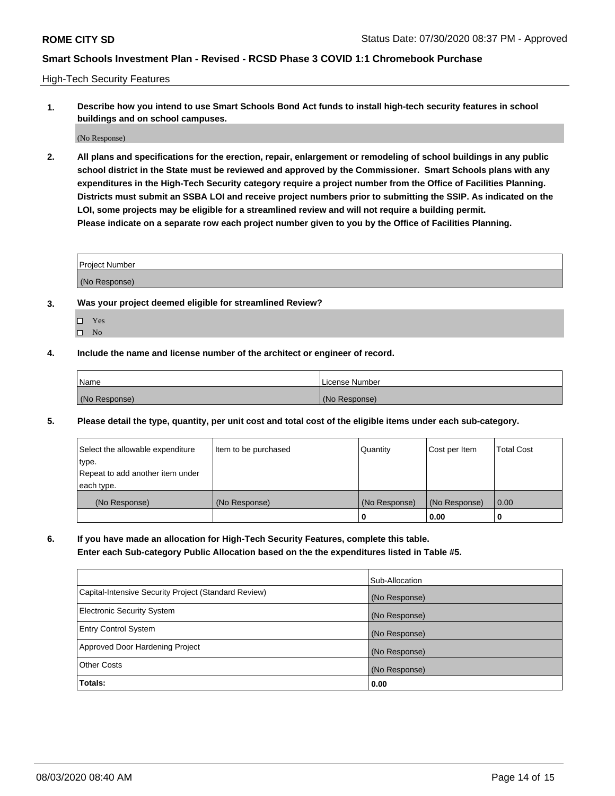High-Tech Security Features

**1. Describe how you intend to use Smart Schools Bond Act funds to install high-tech security features in school buildings and on school campuses.**

(No Response)

**2. All plans and specifications for the erection, repair, enlargement or remodeling of school buildings in any public school district in the State must be reviewed and approved by the Commissioner. Smart Schools plans with any expenditures in the High-Tech Security category require a project number from the Office of Facilities Planning. Districts must submit an SSBA LOI and receive project numbers prior to submitting the SSIP. As indicated on the LOI, some projects may be eligible for a streamlined review and will not require a building permit. Please indicate on a separate row each project number given to you by the Office of Facilities Planning.**

| <b>Project Number</b> |  |
|-----------------------|--|
| (No Response)         |  |

- **3. Was your project deemed eligible for streamlined Review?**
	- Yes
	- $\hfill \square$  No
- **4. Include the name and license number of the architect or engineer of record.**

| <b>Name</b>   | License Number |
|---------------|----------------|
| (No Response) | (No Response)  |

**5. Please detail the type, quantity, per unit cost and total cost of the eligible items under each sub-category.**

| Select the allowable expenditure | Item to be purchased | Quantity      | Cost per Item | <b>Total Cost</b> |
|----------------------------------|----------------------|---------------|---------------|-------------------|
| type.                            |                      |               |               |                   |
| Repeat to add another item under |                      |               |               |                   |
| each type.                       |                      |               |               |                   |
| (No Response)                    | (No Response)        | (No Response) | (No Response) | 0.00              |
|                                  |                      | 0             | 0.00          |                   |

**6. If you have made an allocation for High-Tech Security Features, complete this table.**

**Enter each Sub-category Public Allocation based on the the expenditures listed in Table #5.**

|                                                      | Sub-Allocation |
|------------------------------------------------------|----------------|
| Capital-Intensive Security Project (Standard Review) | (No Response)  |
| <b>Electronic Security System</b>                    | (No Response)  |
| <b>Entry Control System</b>                          | (No Response)  |
| Approved Door Hardening Project                      | (No Response)  |
| <b>Other Costs</b>                                   | (No Response)  |
| Totals:                                              | 0.00           |